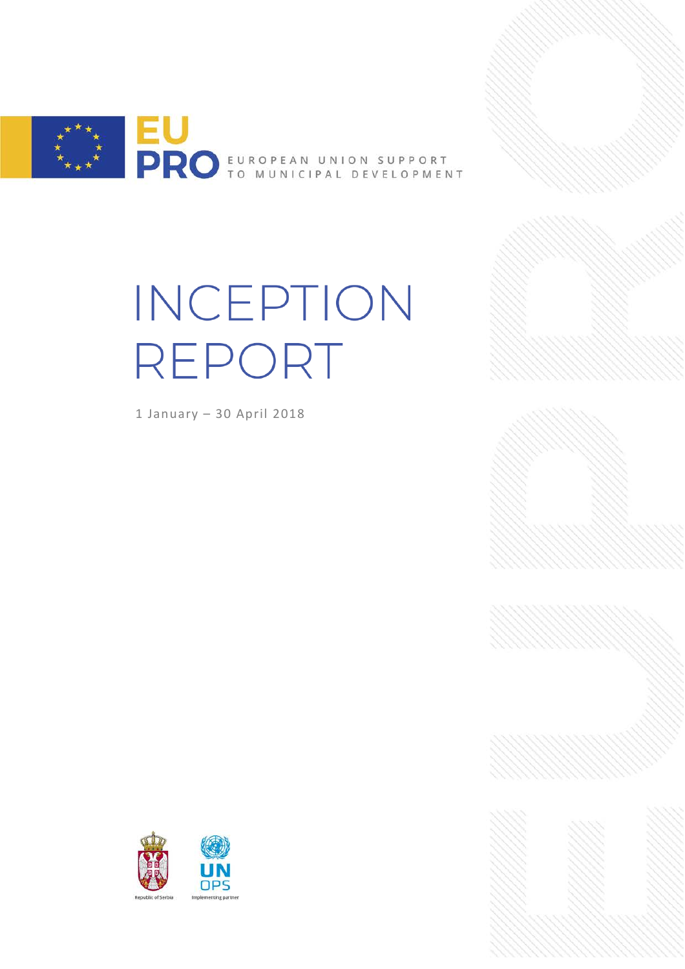

# INCEPTION REPORT

1 January – 30 April 2018



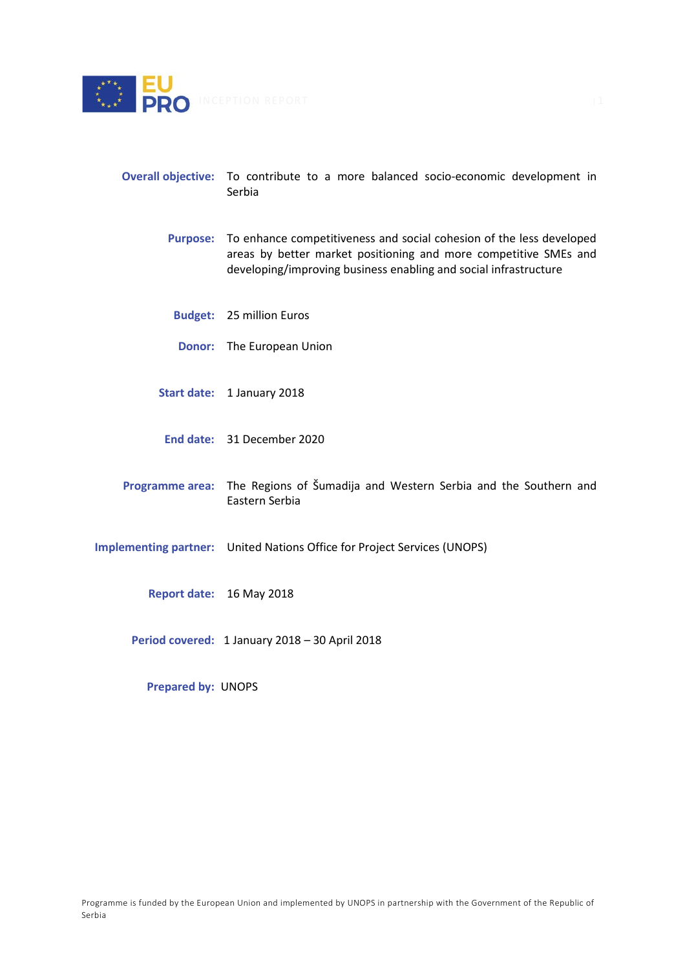

- **Overall objective:** To contribute to a more balanced socio-economic development in Serbia
	- **Purpose:** To enhance competitiveness and social cohesion of the less developed areas by better market positioning and more competitive SMEs and developing/improving business enabling and social infrastructure
		- **Budget:** 25 million Euros
		- **Donor:**  The European Union
	- **Start date:** 1 January 2018
	- **End date:** 31 December 2020
- **Programme area:** The Regions of Šumadija and Western Serbia and the Southern and Eastern Serbia
- **Implementing partner:** United Nations Office for Project Services (UNOPS)
	- **Report date:** 16 May 2018
	- **Period covered:** 1 January 2018 30 April 2018

**Prepared by:** UNOPS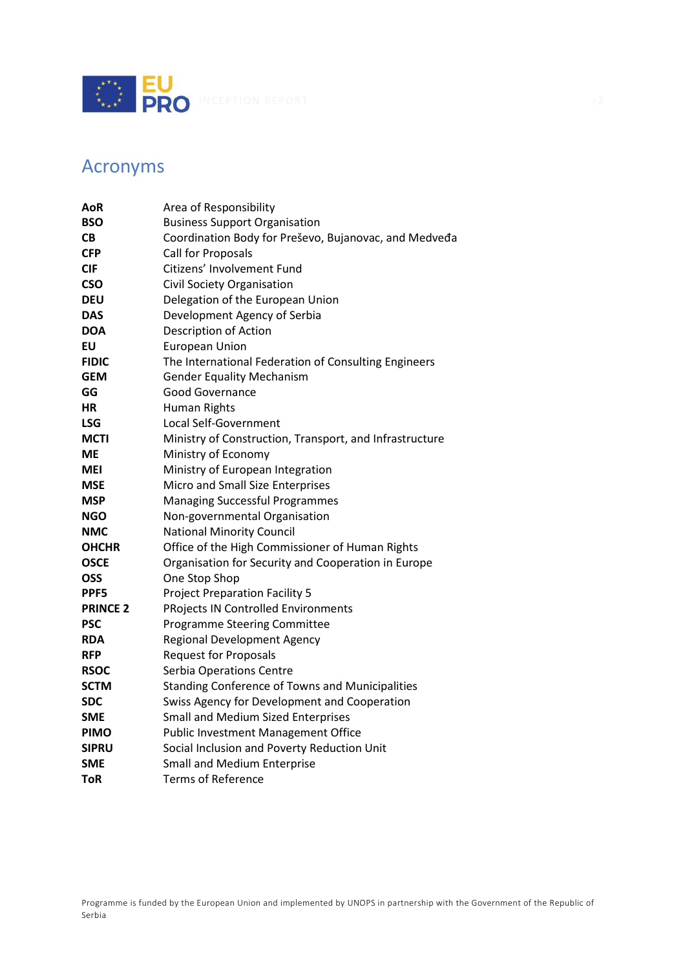

# <span id="page-2-0"></span>Acronyms

| AoR             | Area of Responsibility                                  |  |
|-----------------|---------------------------------------------------------|--|
| <b>BSO</b>      | <b>Business Support Organisation</b>                    |  |
| CВ              | Coordination Body for Preševo, Bujanovac, and Medveda   |  |
| <b>CFP</b>      | Call for Proposals                                      |  |
| <b>CIF</b>      | Citizens' Involvement Fund                              |  |
| <b>CSO</b>      | Civil Society Organisation                              |  |
| <b>DEU</b>      | Delegation of the European Union                        |  |
| <b>DAS</b>      | Development Agency of Serbia                            |  |
| <b>DOA</b>      | Description of Action                                   |  |
| EU              | <b>European Union</b>                                   |  |
| <b>FIDIC</b>    | The International Federation of Consulting Engineers    |  |
| <b>GEM</b>      | <b>Gender Equality Mechanism</b>                        |  |
| GG              | Good Governance                                         |  |
| НR              | Human Rights                                            |  |
| <b>LSG</b>      | Local Self-Government                                   |  |
| <b>MCTI</b>     | Ministry of Construction, Transport, and Infrastructure |  |
| <b>ME</b>       | Ministry of Economy                                     |  |
| <b>MEI</b>      | Ministry of European Integration                        |  |
| <b>MSE</b>      | Micro and Small Size Enterprises                        |  |
| <b>MSP</b>      | <b>Managing Successful Programmes</b>                   |  |
| <b>NGO</b>      | Non-governmental Organisation                           |  |
| <b>NMC</b>      | <b>National Minority Council</b>                        |  |
| <b>OHCHR</b>    | Office of the High Commissioner of Human Rights         |  |
| <b>OSCE</b>     | Organisation for Security and Cooperation in Europe     |  |
| <b>OSS</b>      | One Stop Shop                                           |  |
| PPF5            | <b>Project Preparation Facility 5</b>                   |  |
| <b>PRINCE 2</b> | <b>PRojects IN Controlled Environments</b>              |  |
| <b>PSC</b>      | <b>Programme Steering Committee</b>                     |  |
| <b>RDA</b>      | <b>Regional Development Agency</b>                      |  |
| <b>RFP</b>      | <b>Request for Proposals</b>                            |  |
| <b>RSOC</b>     | Serbia Operations Centre                                |  |
| <b>SCTM</b>     | <b>Standing Conference of Towns and Municipalities</b>  |  |
| <b>SDC</b>      | Swiss Agency for Development and Cooperation            |  |
| <b>SME</b>      | <b>Small and Medium Sized Enterprises</b>               |  |
| <b>PIMO</b>     | <b>Public Investment Management Office</b>              |  |
| <b>SIPRU</b>    | Social Inclusion and Poverty Reduction Unit             |  |
| <b>SME</b>      | <b>Small and Medium Enterprise</b>                      |  |
| <b>ToR</b>      | <b>Terms of Reference</b>                               |  |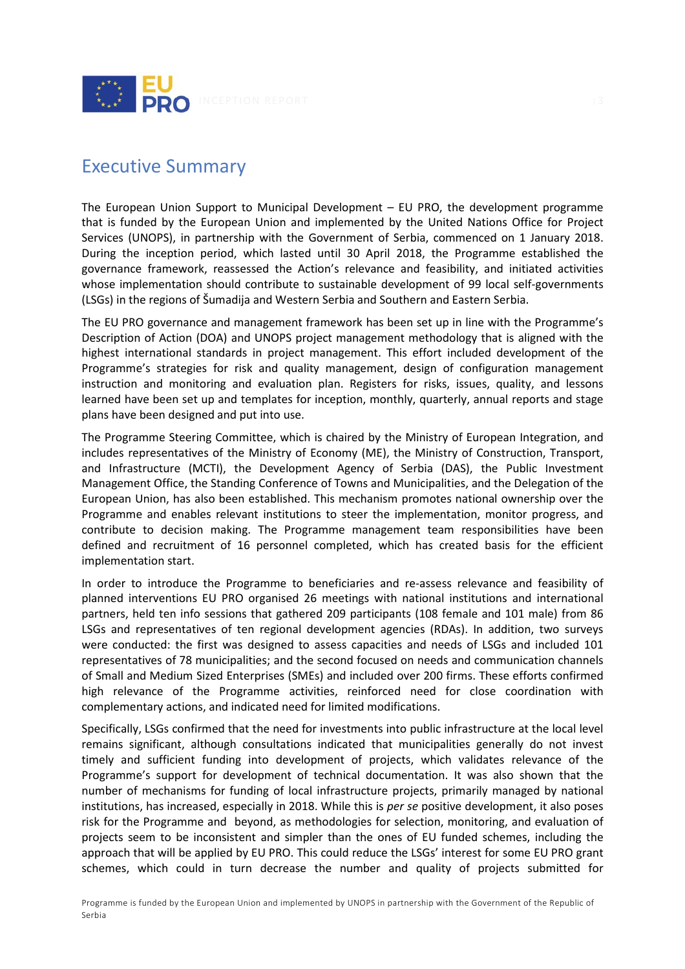

# <span id="page-3-0"></span>Executive Summary

The European Union Support to Municipal Development – EU PRO, the development programme that is funded by the European Union and implemented by the United Nations Office for Project Services (UNOPS), in partnership with the Government of Serbia, commenced on 1 January 2018. During the inception period, which lasted until 30 April 2018, the Programme established the governance framework, reassessed the Action's relevance and feasibility, and initiated activities whose implementation should contribute to sustainable development of 99 local self-governments (LSGs) in the regions of Šumadija and Western Serbia and Southern and Eastern Serbia.

The EU PRO governance and management framework has been set up in line with the Programme's Description of Action (DOA) and UNOPS project management methodology that is aligned with the highest international standards in project management. This effort included development of the Programme's strategies for risk and quality management, design of configuration management instruction and monitoring and evaluation plan. Registers for risks, issues, quality, and lessons learned have been set up and templates for inception, monthly, quarterly, annual reports and stage plans have been designed and put into use.

The Programme Steering Committee, which is chaired by the Ministry of European Integration, and includes representatives of the Ministry of Economy (ME), the Ministry of Construction, Transport, and Infrastructure (MCTI), the Development Agency of Serbia (DAS), the Public Investment Management Office, the Standing Conference of Towns and Municipalities, and the Delegation of the European Union, has also been established. This mechanism promotes national ownership over the Programme and enables relevant institutions to steer the implementation, monitor progress, and contribute to decision making. The Programme management team responsibilities have been defined and recruitment of 16 personnel completed, which has created basis for the efficient implementation start.

In order to introduce the Programme to beneficiaries and re-assess relevance and feasibility of planned interventions EU PRO organised 26 meetings with national institutions and international partners, held ten info sessions that gathered 209 participants (108 female and 101 male) from 86 LSGs and representatives of ten regional development agencies (RDAs). In addition, two surveys were conducted: the first was designed to assess capacities and needs of LSGs and included 101 representatives of 78 municipalities; and the second focused on needs and communication channels of Small and Medium Sized Enterprises (SMEs) and included over 200 firms. These efforts confirmed high relevance of the Programme activities, reinforced need for close coordination with complementary actions, and indicated need for limited modifications.

Specifically, LSGs confirmed that the need for investments into public infrastructure at the local level remains significant, although consultations indicated that municipalities generally do not invest timely and sufficient funding into development of projects, which validates relevance of the Programme's support for development of technical documentation. It was also shown that the number of mechanisms for funding of local infrastructure projects, primarily managed by national institutions, has increased, especially in 2018. While this is *per se* positive development, it also poses risk for the Programme and beyond, as methodologies for selection, monitoring, and evaluation of projects seem to be inconsistent and simpler than the ones of EU funded schemes, including the approach that will be applied by EU PRO. This could reduce the LSGs' interest for some EU PRO grant schemes, which could in turn decrease the number and quality of projects submitted for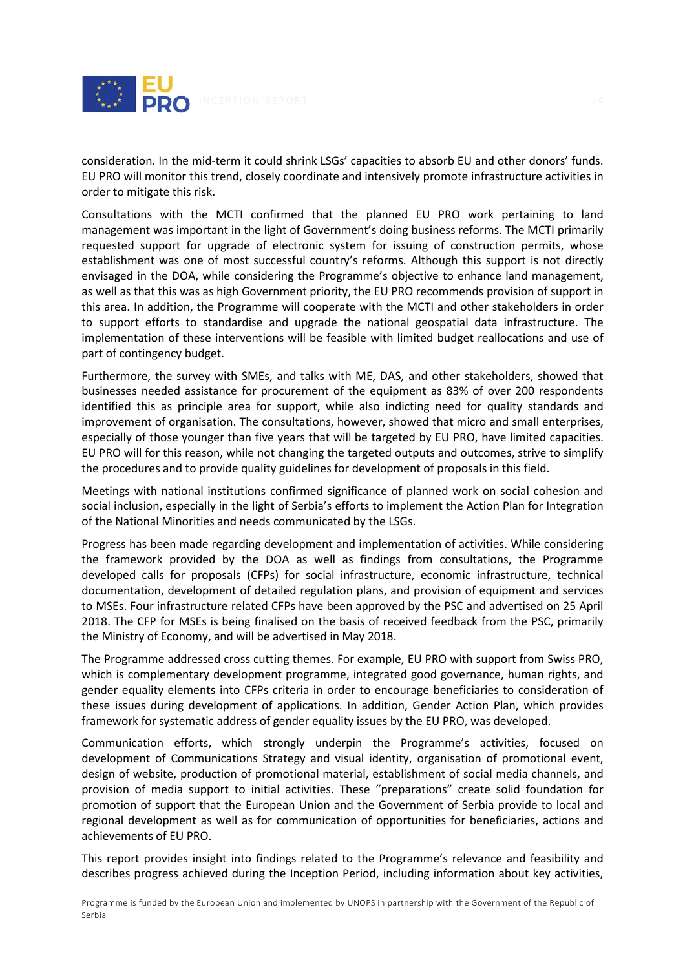

consideration. In the mid-term it could shrink LSGs' capacities to absorb EU and other donors' funds. EU PRO will monitor this trend, closely coordinate and intensively promote infrastructure activities in order to mitigate this risk.

Consultations with the MCTI confirmed that the planned EU PRO work pertaining to land management was important in the light of Government's doing business reforms. The MCTI primarily requested support for upgrade of electronic system for issuing of construction permits, whose establishment was one of most successful country's reforms. Although this support is not directly envisaged in the DOA, while considering the Programme's objective to enhance land management, as well as that this was as high Government priority, the EU PRO recommends provision of support in this area. In addition, the Programme will cooperate with the MCTI and other stakeholders in order to support efforts to standardise and upgrade the national geospatial data infrastructure. The implementation of these interventions will be feasible with limited budget reallocations and use of part of contingency budget.

Furthermore, the survey with SMEs, and talks with ME, DAS, and other stakeholders, showed that businesses needed assistance for procurement of the equipment as 83% of over 200 respondents identified this as principle area for support, while also indicting need for quality standards and improvement of organisation. The consultations, however, showed that micro and small enterprises, especially of those younger than five years that will be targeted by EU PRO, have limited capacities. EU PRO will for this reason, while not changing the targeted outputs and outcomes, strive to simplify the procedures and to provide quality guidelines for development of proposals in this field.

Meetings with national institutions confirmed significance of planned work on social cohesion and social inclusion, especially in the light of Serbia's efforts to implement the Action Plan for Integration of the National Minorities and needs communicated by the LSGs.

Progress has been made regarding development and implementation of activities. While considering the framework provided by the DOA as well as findings from consultations, the Programme developed calls for proposals (CFPs) for social infrastructure, economic infrastructure, technical documentation, development of detailed regulation plans, and provision of equipment and services to MSEs. Four infrastructure related CFPs have been approved by the PSC and advertised on 25 April 2018. The CFP for MSEs is being finalised on the basis of received feedback from the PSC, primarily the Ministry of Economy, and will be advertised in May 2018.

The Programme addressed cross cutting themes. For example, EU PRO with support from Swiss PRO, which is complementary development programme, integrated good governance, human rights, and gender equality elements into CFPs criteria in order to encourage beneficiaries to consideration of these issues during development of applications. In addition, Gender Action Plan, which provides framework for systematic address of gender equality issues by the EU PRO, was developed.

Communication efforts, which strongly underpin the Programme's activities, focused on development of Communications Strategy and visual identity, organisation of promotional event, design of website, production of promotional material, establishment of social media channels, and provision of media support to initial activities. These "preparations" create solid foundation for promotion of support that the European Union and the Government of Serbia provide to local and regional development as well as for communication of opportunities for beneficiaries, actions and achievements of EU PRO.

This report provides insight into findings related to the Programme's relevance and feasibility and describes progress achieved during the Inception Period, including information about key activities,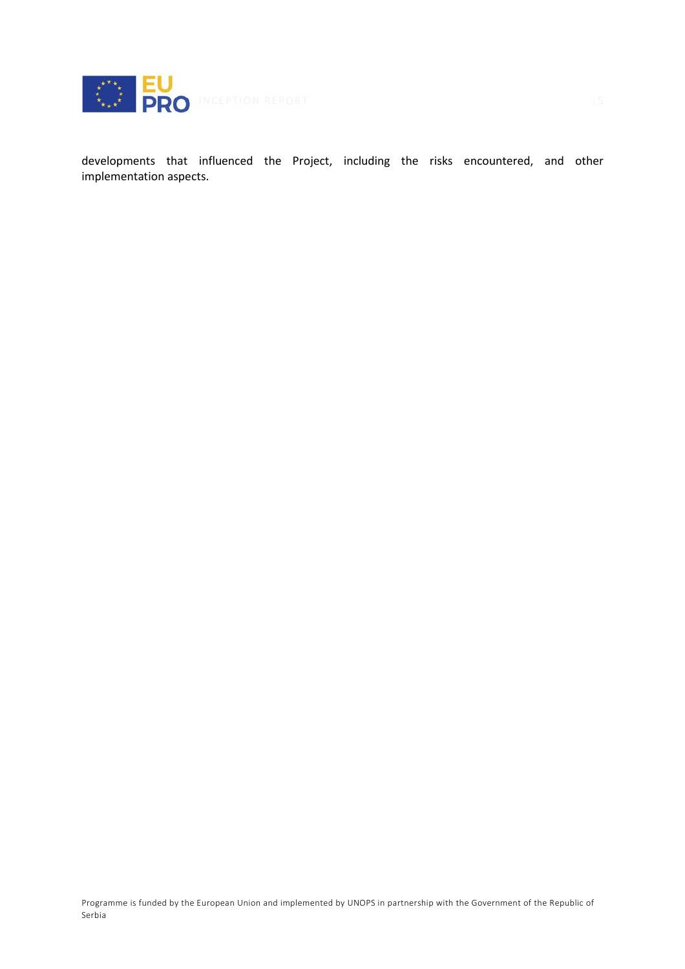

developments that influenced the Project, including the risks encountered, and other implementation aspects.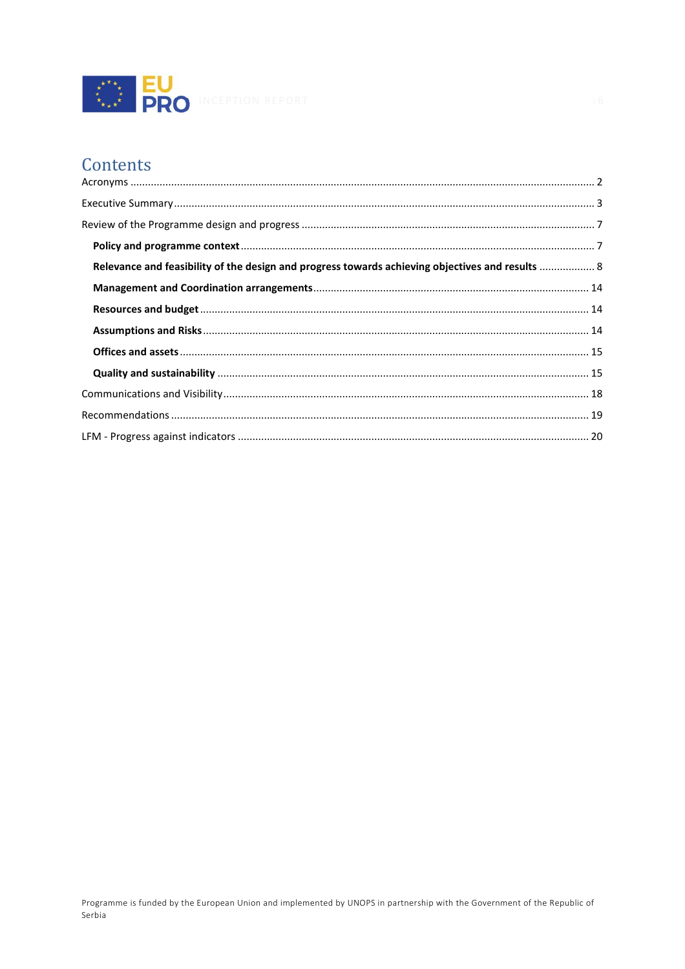

# Contents

| Relevance and feasibility of the design and progress towards achieving objectives and results  8 |  |
|--------------------------------------------------------------------------------------------------|--|
|                                                                                                  |  |
|                                                                                                  |  |
|                                                                                                  |  |
|                                                                                                  |  |
|                                                                                                  |  |
|                                                                                                  |  |
|                                                                                                  |  |
|                                                                                                  |  |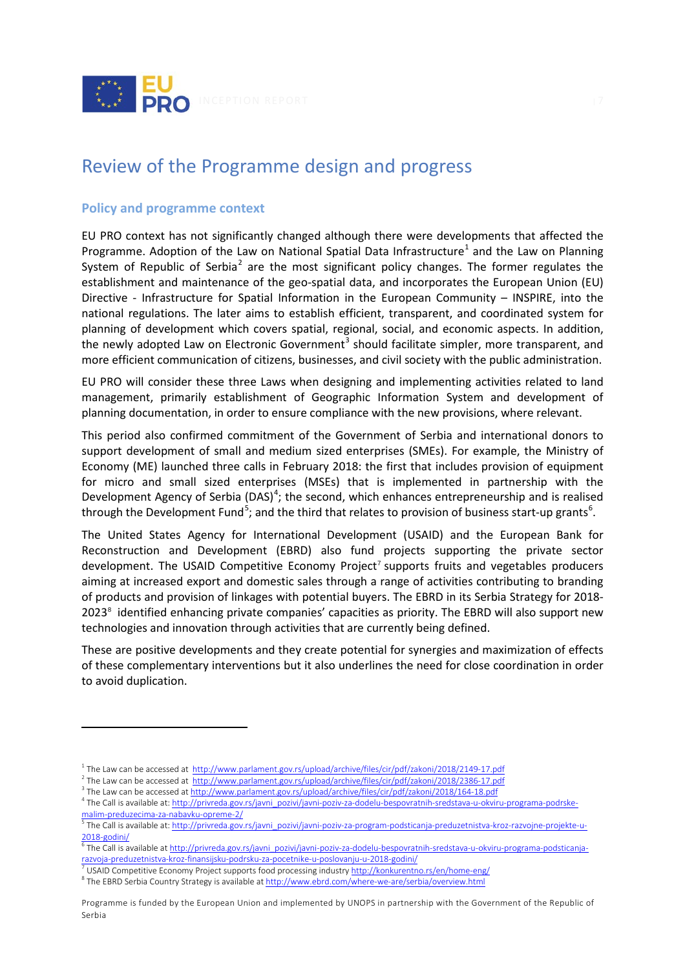

# <span id="page-7-0"></span>Review of the Programme design and progress

# <span id="page-7-1"></span>**Policy and programme context**

 $\overline{a}$ 

EU PRO context has not significantly changed although there were developments that affected the Programme. Adoption of the Law on National Spatial Data Infrastructure<sup>[1](#page-7-2)</sup> and the Law on Planning System of Republic of Serbia<sup>[2](#page-7-3)</sup> are the most significant policy changes. The former regulates the establishment and maintenance of the geo-spatial data, and incorporates the European Union (EU) Directive - Infrastructure for Spatial Information in the European Community – INSPIRE, into the national regulations. The later aims to establish efficient, transparent, and coordinated system for planning of development which covers spatial, regional, social, and economic aspects. In addition, the newly adopted Law on Electronic Government<sup>[3](#page-7-4)</sup> should facilitate simpler, more transparent, and more efficient communication of citizens, businesses, and civil society with the public administration.

EU PRO will consider these three Laws when designing and implementing activities related to land management, primarily establishment of Geographic Information System and development of planning documentation, in order to ensure compliance with the new provisions, where relevant.

This period also confirmed commitment of the Government of Serbia and international donors to support development of small and medium sized enterprises (SMEs). For example, the Ministry of Economy (ME) launched three calls in February 2018: the first that includes provision of equipment for micro and small sized enterprises (MSEs) that is implemented in partnership with the Development Agency of Serbia (DAS)<sup>[4](#page-7-5)</sup>; the second, which enhances entrepreneurship and is realised through the Development Fund<sup>[5](#page-7-6)</sup>; and the third that relates to provision of business start-up grants<sup>[6](#page-7-7)</sup>.

The United States Agency for International Development (USAID) and the European Bank for Reconstruction and Development (EBRD) also fund projects supporting the private sector development. The USAID Competitive Economy Project<sup>[7](#page-7-8)</sup> supports fruits and vegetables producers aiming at increased export and domestic sales through a range of activities contributing to branding of products and provision of linkages with potential buyers. The EBRD in its Serbia Strategy for 2018- 2023<sup>[8](#page-7-9)</sup> identified enhancing private companies' capacities as priority. The EBRD will also support new technologies and innovation through activities that are currently being defined.

These are positive developments and they create potential for synergies and maximization of effects of these complementary interventions but it also underlines the need for close coordination in order to avoid duplication.

<sup>1</sup> The Law can be accessed at<http://www.parlament.gov.rs/upload/archive/files/cir/pdf/zakoni/2018/2149-17.pdf>

<span id="page-7-3"></span><span id="page-7-2"></span><sup>&</sup>lt;sup>2</sup> The Law can be accessed at<http://www.parlament.gov.rs/upload/archive/files/cir/pdf/zakoni/2018/2386-17.pdf>

<span id="page-7-4"></span><sup>&</sup>lt;sup>3</sup> The Law can be accessed a[t http://www.parlament.gov.rs/upload/archive/files/cir/pdf/zakoni/2018/164-18.pdf](http://www.parlament.gov.rs/upload/archive/files/cir/pdf/zakoni/2018/164-18.pdf)

<span id="page-7-5"></span><sup>&</sup>lt;sup>4</sup> The Call is available at[: http://privreda.gov.rs/javni\\_pozivi/javni-poziv-za-dodelu-bespovratnih-sredstava-u-okviru-programa-podrske](http://privreda.gov.rs/javni_pozivi/javni-poziv-za-dodelu-bespovratnih-sredstava-u-okviru-programa-podrske-malim-preduzecima-za-nabavku-opreme-2/)[malim-preduzecima-za-nabavku-opreme-2/](http://privreda.gov.rs/javni_pozivi/javni-poziv-za-dodelu-bespovratnih-sredstava-u-okviru-programa-podrske-malim-preduzecima-za-nabavku-opreme-2/)

<span id="page-7-6"></span><sup>5</sup> The Call is available at[: http://privreda.gov.rs/javni\\_pozivi/javni-poziv-za-program-podsticanja-preduzetnistva-kroz-razvojne-projekte-u-](http://privreda.gov.rs/javni_pozivi/javni-poziv-za-program-podsticanja-preduzetnistva-kroz-razvojne-projekte-u-2018-godini/)[2018-godini/](http://privreda.gov.rs/javni_pozivi/javni-poziv-za-program-podsticanja-preduzetnistva-kroz-razvojne-projekte-u-2018-godini/)

<span id="page-7-7"></span><sup>6</sup> The Call is available a[t http://privreda.gov.rs/javni\\_pozivi/javni-poziv-za-dodelu-bespovratnih-sredstava-u-okviru-programa-podsticanja](http://privreda.gov.rs/javni_pozivi/javni-poziv-za-dodelu-bespovratnih-sredstava-u-okviru-programa-podsticanja-razvoja-preduzetnistva-kroz-finansijsku-podrsku-za-pocetnike-u-poslovanju-u-2018-godini/)[razvoja-preduzetnistva-kroz-finansijsku-podrsku-za-pocetnike-u-poslovanju-u-2018-godini/](http://privreda.gov.rs/javni_pozivi/javni-poziv-za-dodelu-bespovratnih-sredstava-u-okviru-programa-podsticanja-razvoja-preduzetnistva-kroz-finansijsku-podrsku-za-pocetnike-u-poslovanju-u-2018-godini/)

<span id="page-7-8"></span><sup>7</sup> USAID Competitive Economy Project supports food processing industr[y http://konkurentno.rs/en/home-eng/](http://konkurentno.rs/en/home-eng/)

<span id="page-7-9"></span><sup>&</sup>lt;sup>8</sup> The EBRD Serbia Country Strategy is available a[t http://www.ebrd.com/where-we-are/serbia/overview.html](http://www.ebrd.com/where-we-are/serbia/overview.html)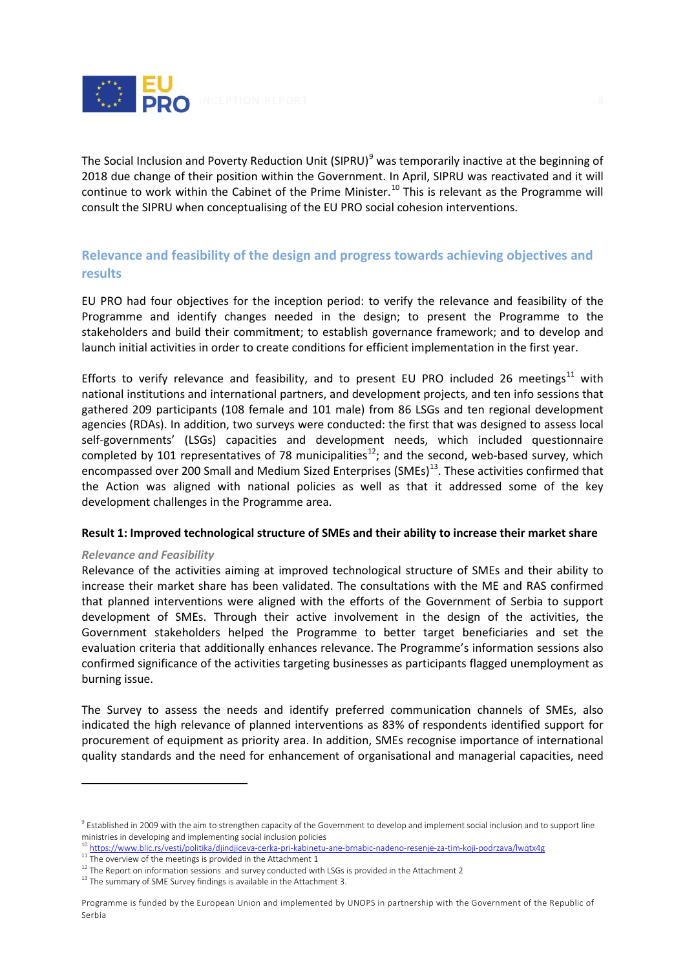

The Social Inclusion and Poverty Reduction Unit (SIPRU)<sup>[9](#page-8-1)</sup> was temporarily inactive at the beginning of 2018 due change of their position within the Government. In April, SIPRU was reactivated and it will continue to work within the Cabinet of the Prime Minister.<sup>[10](#page-8-2)</sup> This is relevant as the Programme will consult the SIPRU when conceptualising of the EU PRO social cohesion interventions.

# <span id="page-8-0"></span>**Relevance and feasibility of the design and progress towards achieving objectives and results**

EU PRO had four objectives for the inception period: to verify the relevance and feasibility of the Programme and identify changes needed in the design; to present the Programme to the stakeholders and build their commitment; to establish governance framework; and to develop and launch initial activities in order to create conditions for efficient implementation in the first year.

Efforts to verify relevance and feasibility, and to present EU PRO included 26 meetings<sup>[11](#page-8-3)</sup> with national institutions and international partners, and development projects, and ten info sessions that gathered 209 participants (108 female and 101 male) from 86 LSGs and ten regional development agencies (RDAs). In addition, two surveys were conducted: the first that was designed to assess local self-governments' (LSGs) capacities and development needs, which included questionnaire completed by 101 representatives of 78 municipalities<sup>12</sup>; and the second, web-based survey, which encompassed over 200 Small and Medium Sized Enterprises (SMEs)<sup>13</sup>. These activities confirmed that the Action was aligned with national policies as well as that it addressed some of the key development challenges in the Programme area.

#### **Result 1: Improved technological structure of SMEs and their ability to increase their market share**

#### *Relevance and Feasibility*

 $\overline{a}$ 

Relevance of the activities aiming at improved technological structure of SMEs and their ability to increase their market share has been validated. The consultations with the ME and RAS confirmed that planned interventions were aligned with the efforts of the Government of Serbia to support development of SMEs. Through their active involvement in the design of the activities, the Government stakeholders helped the Programme to better target beneficiaries and set the evaluation criteria that additionally enhances relevance. The Programme's information sessions also confirmed significance of the activities targeting businesses as participants flagged unemployment as burning issue.

The Survey to assess the needs and identify preferred communication channels of SMEs, also indicated the high relevance of planned interventions as 83% of respondents identified support for procurement of equipment as priority area. In addition, SMEs recognise importance of international quality standards and the need for enhancement of organisational and managerial capacities, need

<span id="page-8-1"></span> $9$  Established in 2009 with the aim to strengthen capacity of the Government to develop and implement social inclusion and to support line ministries in developing and implementing social inclusion policies

<span id="page-8-2"></span> $10 \frac{\text{https://www.blic.rs/vesti/politika/djindjiceva-cerka-pri-kabinetu-ane-brnabic-nadeno-resenje-za-tim-koji-podrzava/lwqtx4g}{\text{The overview of the meetings is provided in the Attachment 1}}$  $10 \frac{\text{https://www.blic.rs/vesti/politika/djindjiceva-cerka-pri-kabinetu-ane-brnabic-nadeno-resenje-za-tim-koji-podrzava/lwqtx4g}{\text{The overview of the meetings is provided in the Attachment 1}}$  $10 \frac{\text{https://www.blic.rs/vesti/politika/djindjiceva-cerka-pri-kabinetu-ane-brnabic-nadeno-resenje-za-tim-koji-podrzava/lwqtx4g}{\text{The overview of the meetings is provided in the Attachment 1}}$ 

<span id="page-8-4"></span><span id="page-8-3"></span> $12$  The Report on information sessions and survey conducted with LSGs is provided in the Attachment 2

<span id="page-8-5"></span><sup>&</sup>lt;sup>13</sup> The summary of SME Survey findings is available in the Attachment 3.

Programme is funded by the European Union and implemented by UNOPS in partnership with the Government of the Republic of Serbia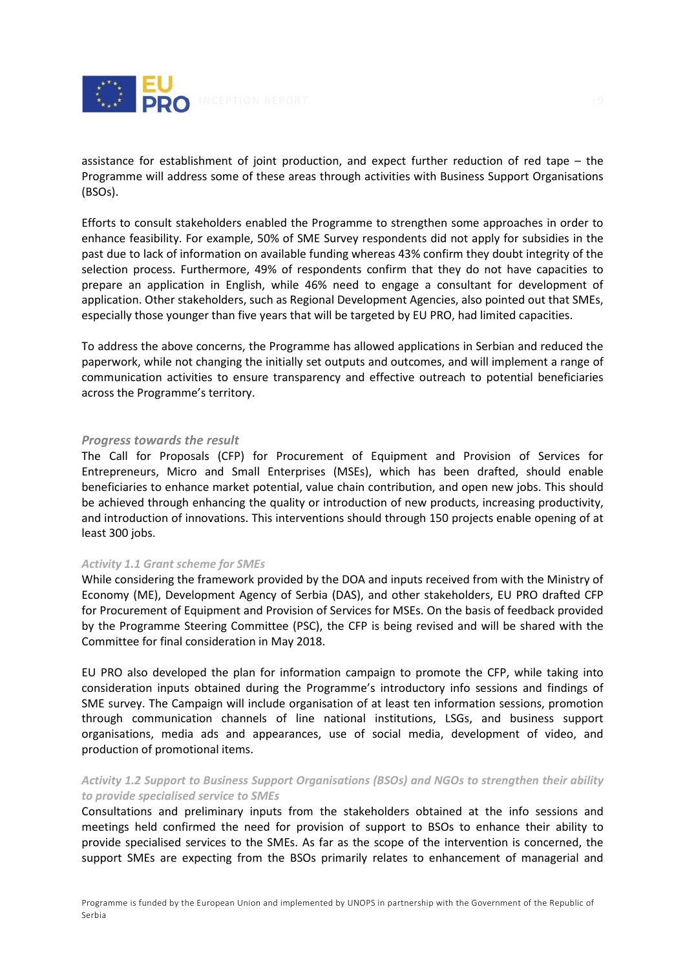

assistance for establishment of joint production, and expect further reduction of red tape – the Programme will address some of these areas through activities with Business Support Organisations (BSOs).

Efforts to consult stakeholders enabled the Programme to strengthen some approaches in order to enhance feasibility. For example, 50% of SME Survey respondents did not apply for subsidies in the past due to lack of information on available funding whereas 43% confirm they doubt integrity of the selection process. Furthermore, 49% of respondents confirm that they do not have capacities to prepare an application in English, while 46% need to engage a consultant for development of application. Other stakeholders, such as Regional Development Agencies, also pointed out that SMEs, especially those younger than five years that will be targeted by EU PRO, had limited capacities.

To address the above concerns, the Programme has allowed applications in Serbian and reduced the paperwork, while not changing the initially set outputs and outcomes, and will implement a range of communication activities to ensure transparency and effective outreach to potential beneficiaries across the Programme's territory.

#### *Progress towards the result*

The Call for Proposals (CFP) for Procurement of Equipment and Provision of Services for Entrepreneurs, Micro and Small Enterprises (MSEs), which has been drafted, should enable beneficiaries to enhance market potential, value chain contribution, and open new jobs. This should be achieved through enhancing the quality or introduction of new products, increasing productivity, and introduction of innovations. This interventions should through 150 projects enable opening of at least 300 jobs.

#### *Activity 1.1 Grant scheme for SMEs*

While considering the framework provided by the DOA and inputs received from with the Ministry of Economy (ME), Development Agency of Serbia (DAS), and other stakeholders, EU PRO drafted CFP for Procurement of Equipment and Provision of Services for MSEs. On the basis of feedback provided by the Programme Steering Committee (PSC), the CFP is being revised and will be shared with the Committee for final consideration in May 2018.

EU PRO also developed the plan for information campaign to promote the CFP, while taking into consideration inputs obtained during the Programme's introductory info sessions and findings of SME survey. The Campaign will include organisation of at least ten information sessions, promotion through communication channels of line national institutions, LSGs, and business support organisations, media ads and appearances, use of social media, development of video, and production of promotional items.

# *Activity 1.2 Support to Business Support Organisations (BSOs) and NGOs to strengthen their ability to provide specialised service to SMEs*

Consultations and preliminary inputs from the stakeholders obtained at the info sessions and meetings held confirmed the need for provision of support to BSOs to enhance their ability to provide specialised services to the SMEs. As far as the scope of the intervention is concerned, the support SMEs are expecting from the BSOs primarily relates to enhancement of managerial and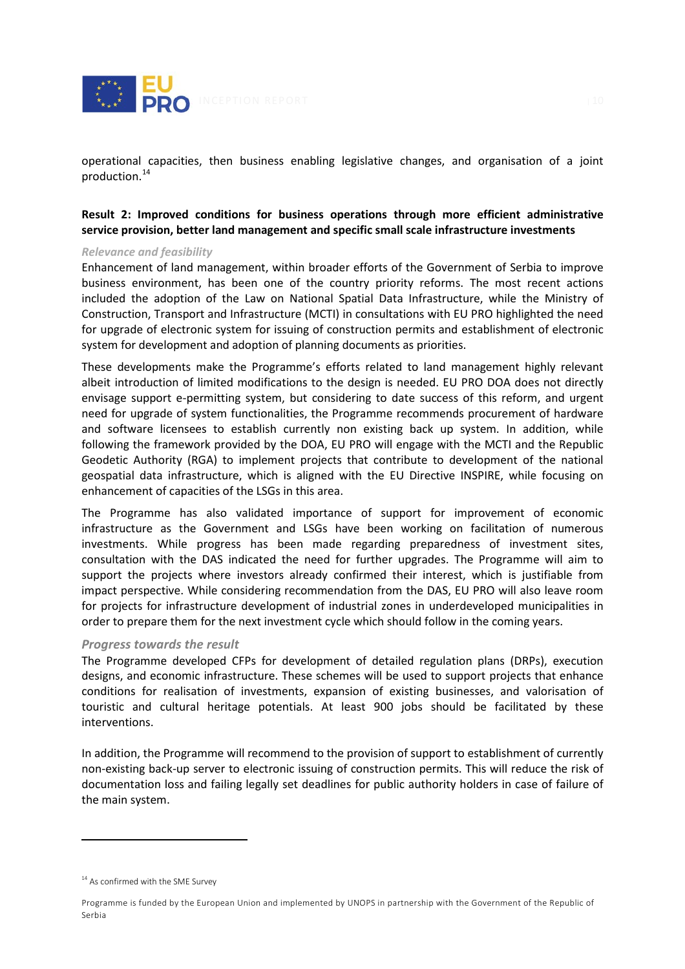

operational capacities, then business enabling legislative changes, and organisation of a joint production. [14](#page-10-0)

# **Result 2: Improved conditions for business operations through more efficient administrative service provision, better land management and specific small scale infrastructure investments**

#### *Relevance and feasibility*

Enhancement of land management, within broader efforts of the Government of Serbia to improve business environment, has been one of the country priority reforms. The most recent actions included the adoption of the Law on National Spatial Data Infrastructure, while the Ministry of Construction, Transport and Infrastructure (MCTI) in consultations with EU PRO highlighted the need for upgrade of electronic system for issuing of construction permits and establishment of electronic system for development and adoption of planning documents as priorities.

These developments make the Programme's efforts related to land management highly relevant albeit introduction of limited modifications to the design is needed. EU PRO DOA does not directly envisage support e-permitting system, but considering to date success of this reform, and urgent need for upgrade of system functionalities, the Programme recommends procurement of hardware and software licensees to establish currently non existing back up system. In addition, while following the framework provided by the DOA, EU PRO will engage with the MCTI and the Republic Geodetic Authority (RGA) to implement projects that contribute to development of the national geospatial data infrastructure, which is aligned with the EU Directive INSPIRE, while focusing on enhancement of capacities of the LSGs in this area.

The Programme has also validated importance of support for improvement of economic infrastructure as the Government and LSGs have been working on facilitation of numerous investments. While progress has been made regarding preparedness of investment sites, consultation with the DAS indicated the need for further upgrades. The Programme will aim to support the projects where investors already confirmed their interest, which is justifiable from impact perspective. While considering recommendation from the DAS, EU PRO will also leave room for projects for infrastructure development of industrial zones in underdeveloped municipalities in order to prepare them for the next investment cycle which should follow in the coming years.

#### *Progress towards the result*

The Programme developed CFPs for development of detailed regulation plans (DRPs), execution designs, and economic infrastructure. These schemes will be used to support projects that enhance conditions for realisation of investments, expansion of existing businesses, and valorisation of touristic and cultural heritage potentials. At least 900 jobs should be facilitated by these interventions.

In addition, the Programme will recommend to the provision of support to establishment of currently non-existing back-up server to electronic issuing of construction permits. This will reduce the risk of documentation loss and failing legally set deadlines for public authority holders in case of failure of the main system.

<span id="page-10-0"></span> $14$  As confirmed with the SME Survey

Programme is funded by the European Union and implemented by UNOPS in partnership with the Government of the Republic of Serbia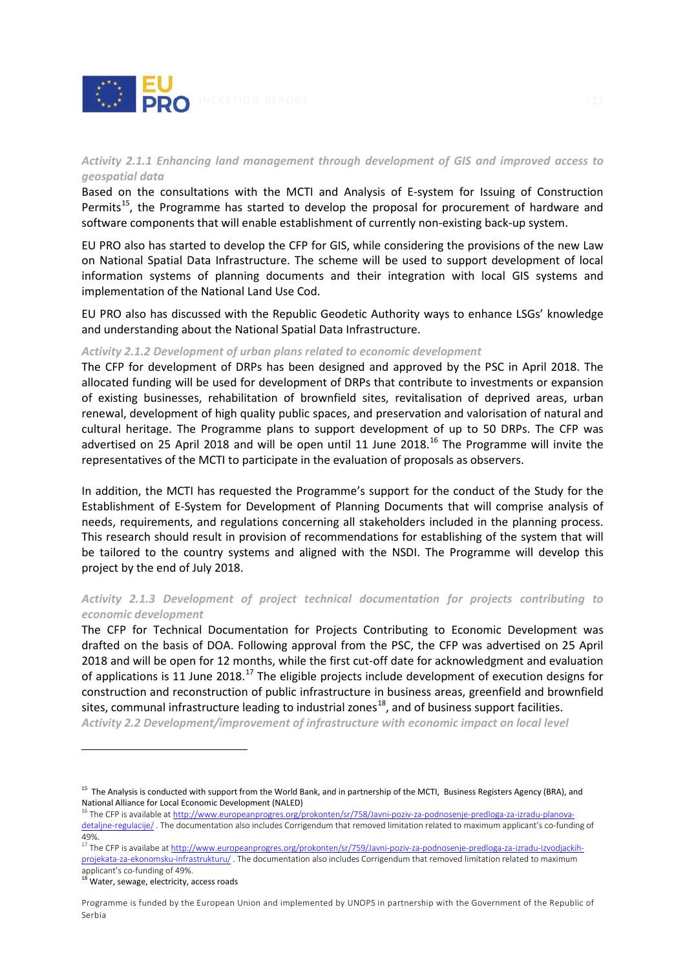

# *Activity 2.1.1 Enhancing land management through development of GIS and improved access to geospatial data*

Based on the consultations with the MCTI and Analysis of E-system for Issuing of Construction Permits<sup>15</sup>, the Programme has started to develop the proposal for procurement of hardware and software components that will enable establishment of currently non-existing back-up system.

EU PRO also has started to develop the CFP for GIS, while considering the provisions of the new Law on National Spatial Data Infrastructure. The scheme will be used to support development of local information systems of planning documents and their integration with local GIS systems and implementation of the National Land Use Cod.

EU PRO also has discussed with the Republic Geodetic Authority ways to enhance LSGs' knowledge and understanding about the National Spatial Data Infrastructure.

#### *Activity 2.1.2 Development of urban plans related to economic development*

The CFP for development of DRPs has been designed and approved by the PSC in April 2018. The allocated funding will be used for development of DRPs that contribute to investments or expansion of existing businesses, rehabilitation of brownfield sites, revitalisation of deprived areas, urban renewal, development of high quality public spaces, and preservation and valorisation of natural and cultural heritage. The Programme plans to support development of up to 50 DRPs. The CFP was advertised on 25 April 2018 and will be open until 11 June 2018.<sup>[16](#page-11-1)</sup> The Programme will invite the representatives of the MCTI to participate in the evaluation of proposals as observers.

In addition, the MCTI has requested the Programme's support for the conduct of the Study for the Establishment of E-System for Development of Planning Documents that will comprise analysis of needs, requirements, and regulations concerning all stakeholders included in the planning process. This research should result in provision of recommendations for establishing of the system that will be tailored to the country systems and aligned with the NSDI. The Programme will develop this project by the end of July 2018.

# *Activity 2.1.3 Development of project technical documentation for projects contributing to economic development*

The CFP for Technical Documentation for Projects Contributing to Economic Development was drafted on the basis of DOA. Following approval from the PSC, the CFP was advertised on 25 April 2018 and will be open for 12 months, while the first cut-off date for acknowledgment and evaluation of applications is 11 June 2018.<sup>[17](#page-11-2)</sup> The eligible projects include development of execution designs for construction and reconstruction of public infrastructure in business areas, greenfield and brownfield sites, communal infrastructure leading to industrial zones<sup>[18](#page-11-3)</sup>, and of business support facilities.

*Activity 2.2 Development/improvement of infrastructure with economic impact on local level* 

<span id="page-11-0"></span><sup>&</sup>lt;sup>15</sup> The Analysis is conducted with support from the World Bank, and in partnership of the MCTI, Business Registers Agency (BRA), and National Alliance for Local Economic Development (NALED)<br><sup>16</sup> The CFP is available a[t http://www.europeanprogres.org/prokonten/sr/758/Javni-poziv-za-podnosenje-predloga-za-izradu-planova-](http://www.europeanprogres.org/prokonten/sr/758/Javni-poziv-za-podnosenje-predloga-za-izradu-planova-detaljne-regulacije/)

<span id="page-11-1"></span>[detaljne-regulacije/](http://www.europeanprogres.org/prokonten/sr/758/Javni-poziv-za-podnosenje-predloga-za-izradu-planova-detaljne-regulacije/) . The documentation also includes Corrigendum that removed limitation related to maximum applicant's co-funding of 49%.

<span id="page-11-2"></span><sup>&</sup>lt;sup>17</sup> The CFP is availabe a[t http://www.europeanprogres.org/prokonten/sr/759/Javni-poziv-za-podnosenje-predloga-za-izradu-izvodjackih](http://www.europeanprogres.org/prokonten/sr/759/Javni-poziv-za-podnosenje-predloga-za-izradu-izvodjackih-projekata-za-ekonomsku-infrastrukturu/)[projekata-za-ekonomsku-infrastrukturu/](http://www.europeanprogres.org/prokonten/sr/759/Javni-poziv-za-podnosenje-predloga-za-izradu-izvodjackih-projekata-za-ekonomsku-infrastrukturu/) . The documentation also includes Corrigendum that removed limitation related to maximum applicant's co-funding of 49%.

<span id="page-11-3"></span><sup>&</sup>lt;sup>18</sup> Water, sewage, electricity, access roads

Programme is funded by the European Union and implemented by UNOPS in partnership with the Government of the Republic of Serbia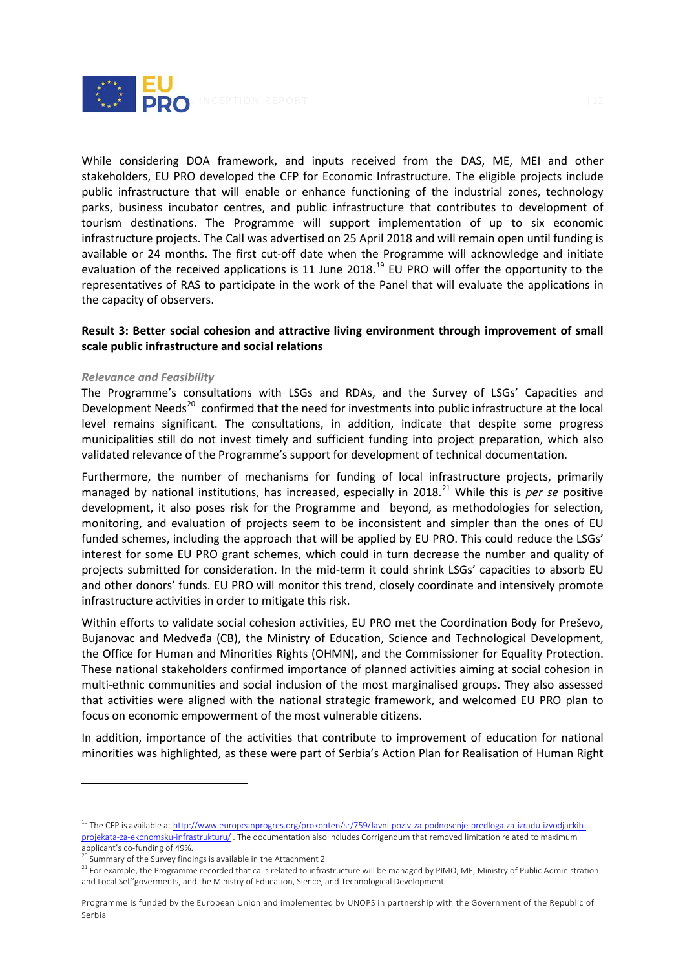

While considering DOA framework, and inputs received from the DAS, ME, MEI and other stakeholders, EU PRO developed the CFP for Economic Infrastructure. The eligible projects include public infrastructure that will enable or enhance functioning of the industrial zones, technology parks, business incubator centres, and public infrastructure that contributes to development of tourism destinations. The Programme will support implementation of up to six economic infrastructure projects. The Call was advertised on 25 April 2018 and will remain open until funding is available or 24 months. The first cut-off date when the Programme will acknowledge and initiate evaluation of the received applications is 11 June 2018.<sup>[19](#page-12-0)</sup> EU PRO will offer the opportunity to the representatives of RAS to participate in the work of the Panel that will evaluate the applications in the capacity of observers.

# **Result 3: Better social cohesion and attractive living environment through improvement of small scale public infrastructure and social relations**

#### *Relevance and Feasibility*

The Programme's consultations with LSGs and RDAs, and the Survey of LSGs' Capacities and Development Needs<sup>[20](#page-12-1)</sup> confirmed that the need for investments into public infrastructure at the local level remains significant. The consultations, in addition, indicate that despite some progress municipalities still do not invest timely and sufficient funding into project preparation, which also validated relevance of the Programme's support for development of technical documentation.

Furthermore, the number of mechanisms for funding of local infrastructure projects, primarily managed by national institutions, has increased, especially in 2018.<sup>[21](#page-12-2)</sup> While this is *per se* positive development, it also poses risk for the Programme and beyond, as methodologies for selection, monitoring, and evaluation of projects seem to be inconsistent and simpler than the ones of EU funded schemes, including the approach that will be applied by EU PRO. This could reduce the LSGs' interest for some EU PRO grant schemes, which could in turn decrease the number and quality of projects submitted for consideration. In the mid-term it could shrink LSGs' capacities to absorb EU and other donors' funds. EU PRO will monitor this trend, closely coordinate and intensively promote infrastructure activities in order to mitigate this risk.

Within efforts to validate social cohesion activities, EU PRO met the Coordination Body for Preševo, Bujanovac and Medveđa (CB), the Ministry of Education, Science and Technological Development, the Office for Human and Minorities Rights (OHMN), and the Commissioner for Equality Protection. These national stakeholders confirmed importance of planned activities aiming at social cohesion in multi-ethnic communities and social inclusion of the most marginalised groups. They also assessed that activities were aligned with the national strategic framework, and welcomed EU PRO plan to focus on economic empowerment of the most vulnerable citizens.

In addition, importance of the activities that contribute to improvement of education for national minorities was highlighted, as these were part of Serbia's Action Plan for Realisation of Human Right

<span id="page-12-0"></span><sup>&</sup>lt;sup>19</sup> The CFP is available a[t http://www.europeanprogres.org/prokonten/sr/759/Javni-poziv-za-podnosenje-predloga-za-izradu-izvodjackih](http://www.europeanprogres.org/prokonten/sr/759/Javni-poziv-za-podnosenje-predloga-za-izradu-izvodjackih-projekata-za-ekonomsku-infrastrukturu/)[projekata-za-ekonomsku-infrastrukturu/](http://www.europeanprogres.org/prokonten/sr/759/Javni-poziv-za-podnosenje-predloga-za-izradu-izvodjackih-projekata-za-ekonomsku-infrastrukturu/) . The documentation also includes Corrigendum that removed limitation related to maximum applicant's co-funding of 49%.<br>
<sup>20</sup> Summary of the Survey findings is available in the Attachment 2

<span id="page-12-2"></span><span id="page-12-1"></span><sup>&</sup>lt;sup>21</sup> For example, the Programme recorded that calls related to infrastructure will be managed by PIMO, ME, Ministry of Public Administration and Local Self'goverments, and the Ministry of Education, Sience, and Technological Development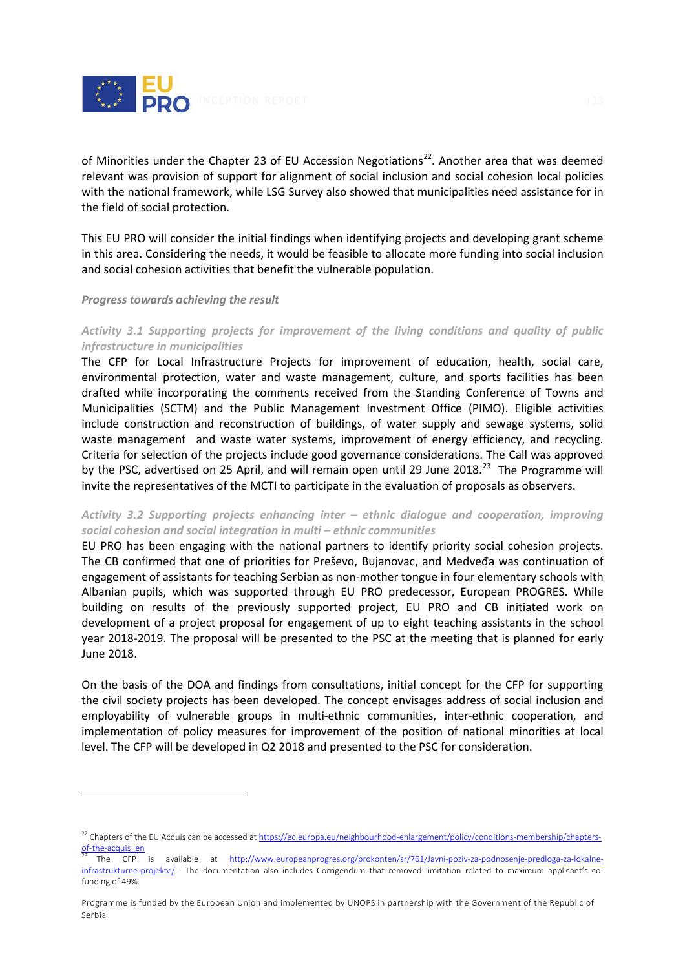

of Minorities under the Chapter 23 of EU Accession Negotiations<sup>[22](#page-13-0)</sup>. Another area that was deemed relevant was provision of support for alignment of social inclusion and social cohesion local policies with the national framework, while LSG Survey also showed that municipalities need assistance for in the field of social protection.

This EU PRO will consider the initial findings when identifying projects and developing grant scheme in this area. Considering the needs, it would be feasible to allocate more funding into social inclusion and social cohesion activities that benefit the vulnerable population.

#### *Progress towards achieving the result*

 $\overline{a}$ 

## *Activity 3.1 Supporting projects for improvement of the living conditions and quality of public infrastructure in municipalities*

The CFP for Local Infrastructure Projects for improvement of education, health, social care, environmental protection, water and waste management, culture, and sports facilities has been drafted while incorporating the comments received from the Standing Conference of Towns and Municipalities (SCTM) and the Public Management Investment Office (PIMO). Eligible activities include construction and reconstruction of buildings, of water supply and sewage systems, solid waste management and waste water systems, improvement of energy efficiency, and recycling. Criteria for selection of the projects include good governance considerations. The Call was approved by the PSC, advertised on 25 April, and will remain open until 29 June 2018.<sup>[23](#page-13-1)</sup> The Programme will invite the representatives of the MCTI to participate in the evaluation of proposals as observers.

## *Activity 3.2 Supporting projects enhancing inter – ethnic dialogue and cooperation, improving social cohesion and social integration in multi – ethnic communities*

EU PRO has been engaging with the national partners to identify priority social cohesion projects. The CB confirmed that one of priorities for Preševo, Bujanovac, and Medveđa was continuation of engagement of assistants for teaching Serbian as non-mother tongue in four elementary schools with Albanian pupils, which was supported through EU PRO predecessor, European PROGRES. While building on results of the previously supported project, EU PRO and CB initiated work on development of a project proposal for engagement of up to eight teaching assistants in the school year 2018-2019. The proposal will be presented to the PSC at the meeting that is planned for early June 2018.

On the basis of the DOA and findings from consultations, initial concept for the CFP for supporting the civil society projects has been developed. The concept envisages address of social inclusion and employability of vulnerable groups in multi-ethnic communities, inter-ethnic cooperation, and implementation of policy measures for improvement of the position of national minorities at local level. The CFP will be developed in Q2 2018 and presented to the PSC for consideration.

<span id="page-13-0"></span><sup>&</sup>lt;sup>22</sup> Chapters of the EU Acquis can be accessed a[t https://ec.europa.eu/neighbourhood-enlargement/policy/conditions-membership/chapters-](https://ec.europa.eu/neighbourhood-enlargement/policy/conditions-membership/chapters-of-the-acquis_en) $\frac{\text{of-the-acquis\_en}}{23 + \text{The}}$ 

<span id="page-13-1"></span><sup>23</sup> The CFP is available at [http://www.europeanprogres.org/prokonten/sr/761/Javni-poziv-za-podnosenje-predloga-za-lokalne](http://www.europeanprogres.org/prokonten/sr/761/Javni-poziv-za-podnosenje-predloga-za-lokalne-infrastrukturne-projekte/)[infrastrukturne-projekte/](http://www.europeanprogres.org/prokonten/sr/761/Javni-poziv-za-podnosenje-predloga-za-lokalne-infrastrukturne-projekte/). The documentation also includes Corrigendum that removed limitation related to maximum applicant's cofunding of 49%.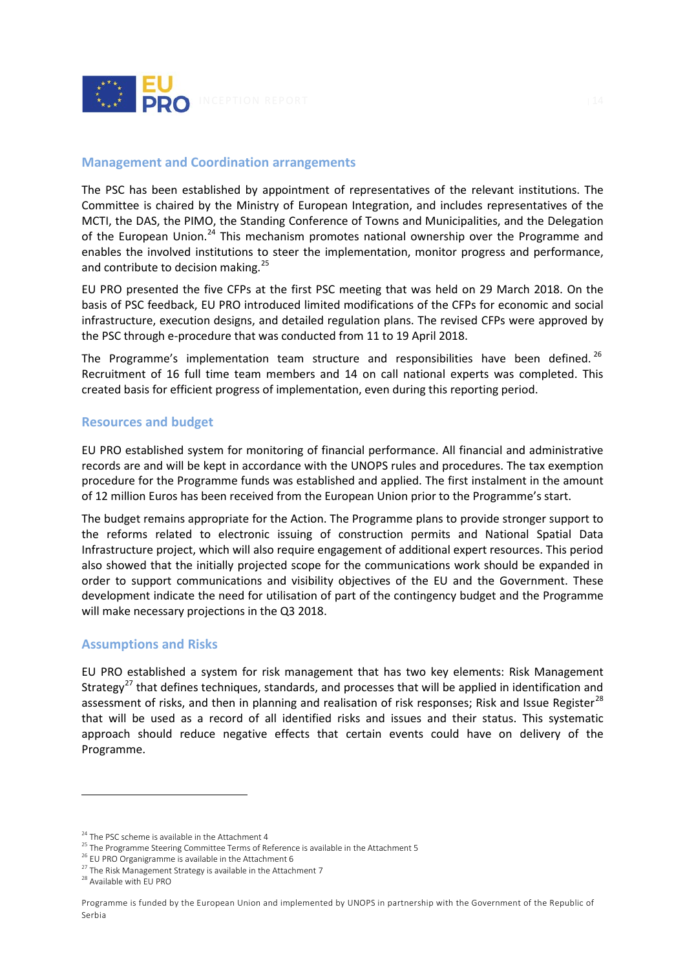

## <span id="page-14-0"></span>**Management and Coordination arrangements**

The PSC has been established by appointment of representatives of the relevant institutions. The Committee is chaired by the Ministry of European Integration, and includes representatives of the MCTI, the DAS, the PIMO, the Standing Conference of Towns and Municipalities, and the Delegation of the European Union.<sup>[24](#page-14-3)</sup> This mechanism promotes national ownership over the Programme and enables the involved institutions to steer the implementation, monitor progress and performance, and contribute to decision making.<sup>[25](#page-14-4)</sup>

EU PRO presented the five CFPs at the first PSC meeting that was held on 29 March 2018. On the basis of PSC feedback, EU PRO introduced limited modifications of the CFPs for economic and social infrastructure, execution designs, and detailed regulation plans. The revised CFPs were approved by the PSC through e-procedure that was conducted from 11 to 19 April 2018.

The Programme's implementation team structure and responsibilities have been defined.<sup>[26](#page-14-5)</sup> Recruitment of 16 full time team members and 14 on call national experts was completed. This created basis for efficient progress of implementation, even during this reporting period.

## <span id="page-14-1"></span>**Resources and budget**

EU PRO established system for monitoring of financial performance. All financial and administrative records are and will be kept in accordance with the UNOPS rules and procedures. The tax exemption procedure for the Programme funds was established and applied. The first instalment in the amount of 12 million Euros has been received from the European Union prior to the Programme's start.

The budget remains appropriate for the Action. The Programme plans to provide stronger support to the reforms related to electronic issuing of construction permits and National Spatial Data Infrastructure project, which will also require engagement of additional expert resources. This period also showed that the initially projected scope for the communications work should be expanded in order to support communications and visibility objectives of the EU and the Government. These development indicate the need for utilisation of part of the contingency budget and the Programme will make necessary projections in the Q3 2018.

#### <span id="page-14-2"></span>**Assumptions and Risks**

EU PRO established a system for risk management that has two key elements: Risk Management Strategy<sup>[27](#page-14-6)</sup> that defines techniques, standards, and processes that will be applied in identification and assessment of risks, and then in planning and realisation of risk responses; Risk and Issue Register<sup>[28](#page-14-7)</sup> that will be used as a record of all identified risks and issues and their status. This systematic approach should reduce negative effects that certain events could have on delivery of the Programme.

<span id="page-14-3"></span> $24$  The PSC scheme is available in the Attachment 4

<span id="page-14-4"></span> $25$  The Programme Steering Committee Terms of Reference is available in the Attachment 5

<sup>&</sup>lt;sup>26</sup> EU PRO Organigramme is available in the Attachment 6

<span id="page-14-7"></span><span id="page-14-6"></span><span id="page-14-5"></span><sup>&</sup>lt;sup>27</sup> The Risk Management Strategy is available in the Attachment 7<sup>28</sup> Available with EU PRO

Programme is funded by the European Union and implemented by UNOPS in partnership with the Government of the Republic of Serbia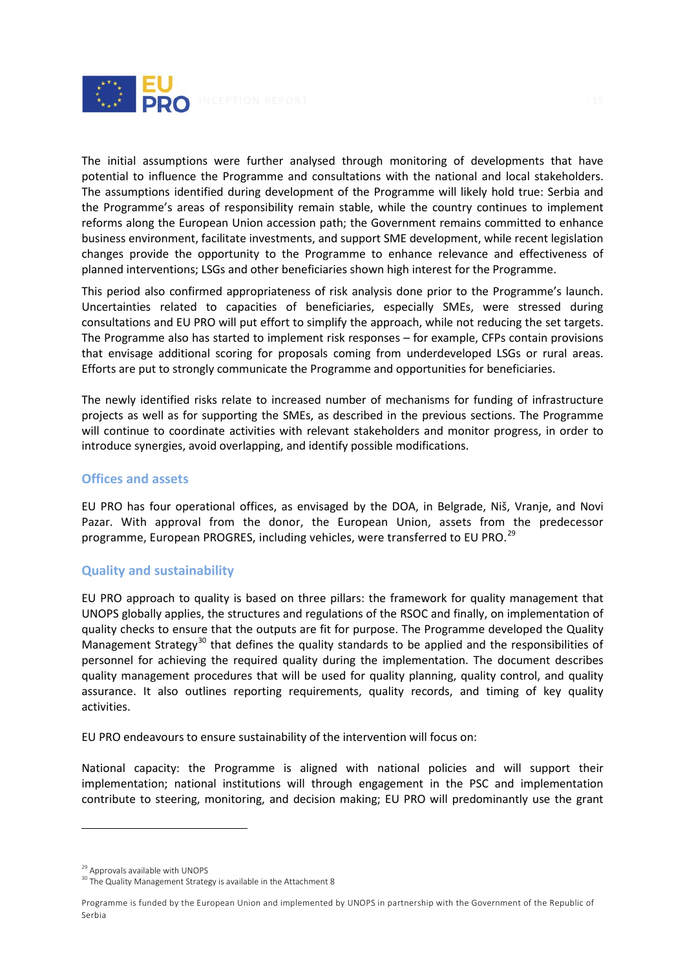

The initial assumptions were further analysed through monitoring of developments that have potential to influence the Programme and consultations with the national and local stakeholders. The assumptions identified during development of the Programme will likely hold true: Serbia and the Programme's areas of responsibility remain stable, while the country continues to implement reforms along the European Union accession path; the Government remains committed to enhance business environment, facilitate investments, and support SME development, while recent legislation changes provide the opportunity to the Programme to enhance relevance and effectiveness of planned interventions; LSGs and other beneficiaries shown high interest for the Programme.

This period also confirmed appropriateness of risk analysis done prior to the Programme's launch. Uncertainties related to capacities of beneficiaries, especially SMEs, were stressed during consultations and EU PRO will put effort to simplify the approach, while not reducing the set targets. The Programme also has started to implement risk responses – for example, CFPs contain provisions that envisage additional scoring for proposals coming from underdeveloped LSGs or rural areas. Efforts are put to strongly communicate the Programme and opportunities for beneficiaries.

The newly identified risks relate to increased number of mechanisms for funding of infrastructure projects as well as for supporting the SMEs, as described in the previous sections. The Programme will continue to coordinate activities with relevant stakeholders and monitor progress, in order to introduce synergies, avoid overlapping, and identify possible modifications.

# <span id="page-15-0"></span>**Offices and assets**

EU PRO has four operational offices, as envisaged by the DOA, in Belgrade, Niš, Vranje, and Novi Pazar. With approval from the donor, the European Union, assets from the predecessor programme, European PROGRES, including vehicles, were transferred to EU PRO.<sup>[29](#page-15-2)</sup>

# <span id="page-15-1"></span>**Quality and sustainability**

EU PRO approach to quality is based on three pillars: the framework for quality management that UNOPS globally applies, the structures and regulations of the RSOC and finally, on implementation of quality checks to ensure that the outputs are fit for purpose. The Programme developed the Quality Management Strategy<sup>[30](#page-15-3)</sup> that defines the quality standards to be applied and the responsibilities of personnel for achieving the required quality during the implementation. The document describes quality management procedures that will be used for quality planning, quality control, and quality assurance. It also outlines reporting requirements, quality records, and timing of key quality activities.

EU PRO endeavours to ensure sustainability of the intervention will focus on:

National capacity: the Programme is aligned with national policies and will support their implementation; national institutions will through engagement in the PSC and implementation contribute to steering, monitoring, and decision making; EU PRO will predominantly use the grant

<span id="page-15-3"></span><span id="page-15-2"></span><sup>&</sup>lt;sup>29</sup> Approvals available with UNOPS<br><sup>30</sup> The Quality Management Strategy is available in the Attachment 8

Programme is funded by the European Union and implemented by UNOPS in partnership with the Government of the Republic of Serbia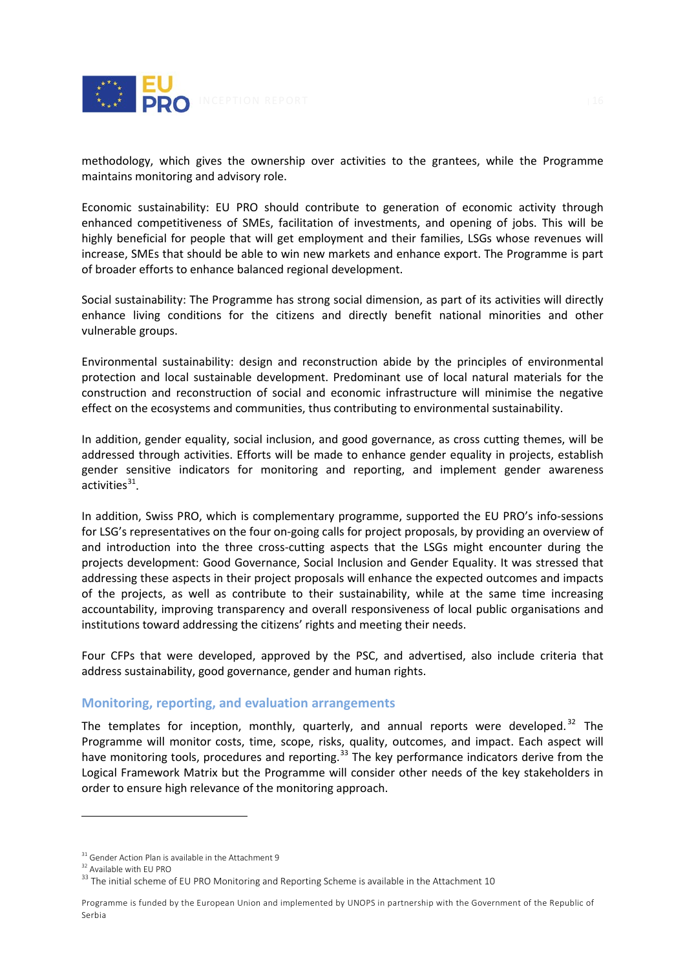

methodology, which gives the ownership over activities to the grantees, while the Programme maintains monitoring and advisory role.

Economic sustainability: EU PRO should contribute to generation of economic activity through enhanced competitiveness of SMEs, facilitation of investments, and opening of jobs. This will be highly beneficial for people that will get employment and their families, LSGs whose revenues will increase, SMEs that should be able to win new markets and enhance export. The Programme is part of broader efforts to enhance balanced regional development.

Social sustainability: The Programme has strong social dimension, as part of its activities will directly enhance living conditions for the citizens and directly benefit national minorities and other vulnerable groups.

Environmental sustainability: design and reconstruction abide by the principles of environmental protection and local sustainable development. Predominant use of local natural materials for the construction and reconstruction of social and economic infrastructure will minimise the negative effect on the ecosystems and communities, thus contributing to environmental sustainability.

In addition, gender equality, social inclusion, and good governance, as cross cutting themes, will be addressed through activities. Efforts will be made to enhance gender equality in projects, establish gender sensitive indicators for monitoring and reporting, and implement gender awareness activities $31$ .

In addition, Swiss PRO, which is complementary programme, supported the EU PRO's info-sessions for LSG's representatives on the four on-going calls for project proposals, by providing an overview of and introduction into the three cross-cutting aspects that the LSGs might encounter during the projects development: Good Governance, Social Inclusion and Gender Equality. It was stressed that addressing these aspects in their project proposals will enhance the expected outcomes and impacts of the projects, as well as contribute to their sustainability, while at the same time increasing accountability, improving transparency and overall responsiveness of local public organisations and institutions toward addressing the citizens' rights and meeting their needs.

Four CFPs that were developed, approved by the PSC, and advertised, also include criteria that address sustainability, good governance, gender and human rights.

# **Monitoring, reporting, and evaluation arrangements**

The templates for inception, monthly, quarterly, and annual reports were developed.<sup>[32](#page-16-1)</sup> The Programme will monitor costs, time, scope, risks, quality, outcomes, and impact. Each aspect will have monitoring tools, procedures and reporting.<sup>[33](#page-16-2)</sup> The key performance indicators derive from the Logical Framework Matrix but the Programme will consider other needs of the key stakeholders in order to ensure high relevance of the monitoring approach.

<span id="page-16-0"></span> $31$  Gender Action Plan is available in the Attachment 9<br> $32$  Available with EU PRO

<span id="page-16-1"></span>

<span id="page-16-2"></span> $33$  The initial scheme of EU PRO Monitoring and Reporting Scheme is available in the Attachment 10

Programme is funded by the European Union and implemented by UNOPS in partnership with the Government of the Republic of Serbia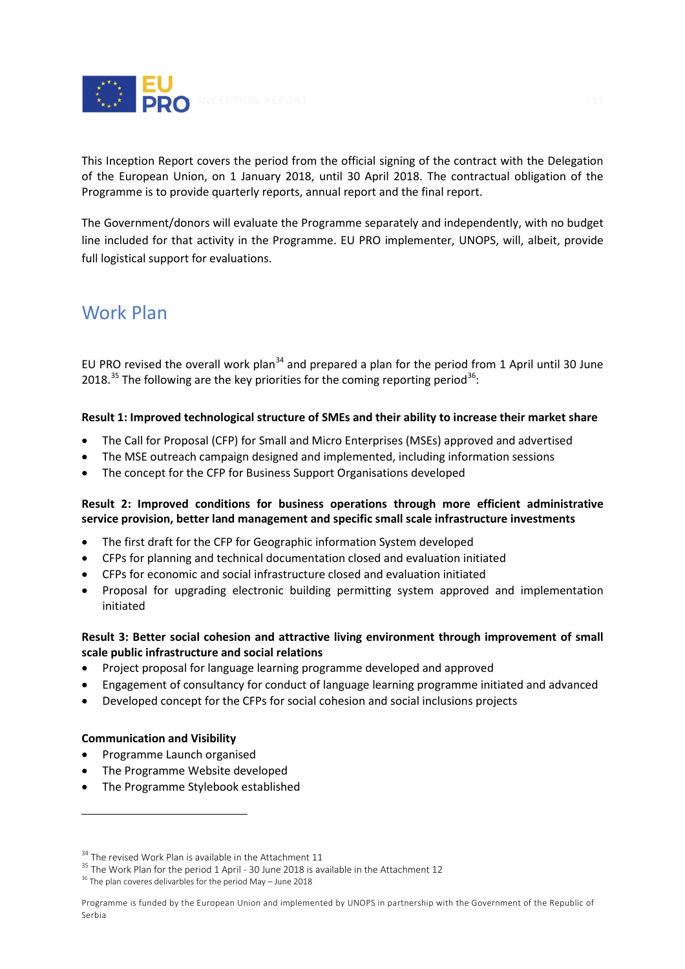

This Inception Report covers the period from the official signing of the contract with the Delegation of the European Union, on 1 January 2018, until 30 April 2018. The contractual obligation of the Programme is to provide quarterly reports, annual report and the final report.

The Government/donors will evaluate the Programme separately and independently, with no budget line included for that activity in the Programme. EU PRO implementer, UNOPS, will, albeit, provide full logistical support for evaluations.

# Work Plan

EU PRO revised the overall work plan<sup>[34](#page-17-0)</sup> and prepared a plan for the period from 1 April until 30 June 2018.<sup>[35](#page-17-1)</sup> The following are the key priorities for the coming reporting period<sup>[36](#page-17-2)</sup>:

# **Result 1: Improved technological structure of SMEs and their ability to increase their market share**

- The Call for Proposal (CFP) for Small and Micro Enterprises (MSEs) approved and advertised
- The MSE outreach campaign designed and implemented, including information sessions
- The concept for the CFP for Business Support Organisations developed

# **Result 2: Improved conditions for business operations through more efficient administrative service provision, better land management and specific small scale infrastructure investments**

- The first draft for the CFP for Geographic information System developed
- CFPs for planning and technical documentation closed and evaluation initiated
- CFPs for economic and social infrastructure closed and evaluation initiated
- Proposal for upgrading electronic building permitting system approved and implementation initiated

# **Result 3: Better social cohesion and attractive living environment through improvement of small scale public infrastructure and social relations**

- Project proposal for language learning programme developed and approved
- Engagement of consultancy for conduct of language learning programme initiated and advanced
- Developed concept for the CFPs for social cohesion and social inclusions projects

# **Communication and Visibility**

- Programme Launch organised
- The Programme Website developed
- The Programme Stylebook established

<span id="page-17-1"></span><span id="page-17-0"></span><sup>&</sup>lt;sup>34</sup> The revised Work Plan is available in the Attachment 11<br><sup>35</sup> The Work Plan for the period 1 April - 30 June 2018 is available in the Attachment 12

<span id="page-17-2"></span><sup>&</sup>lt;sup>36</sup> The plan coveres delivarbles for the period May - June 2018

Programme is funded by the European Union and implemented by UNOPS in partnership with the Government of the Republic of Serbia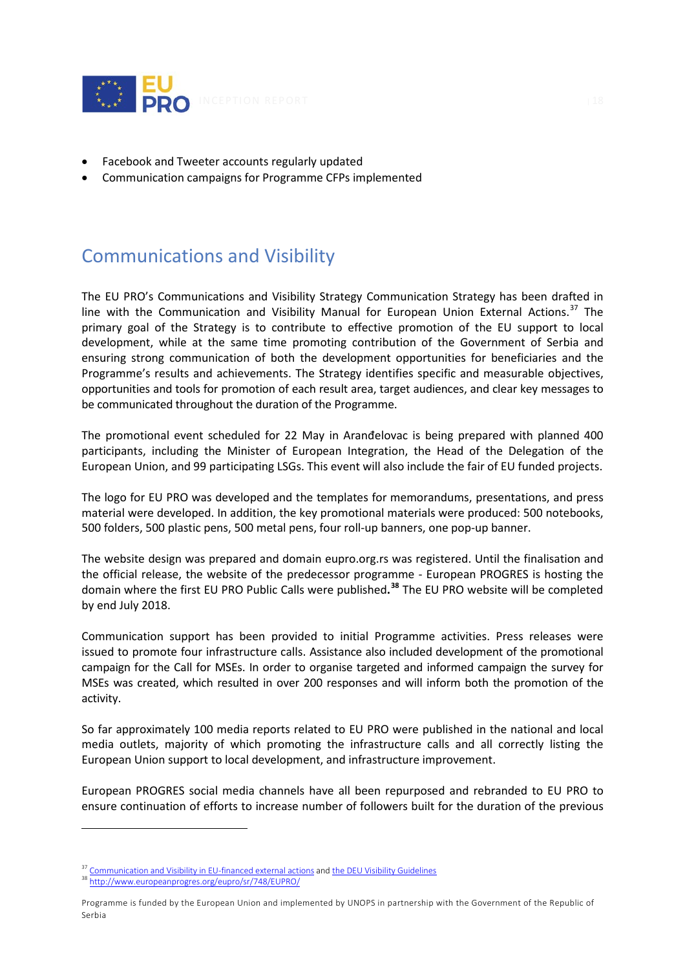

- Facebook and Tweeter accounts regularly updated
- Communication campaigns for Programme CFPs implemented

# <span id="page-18-0"></span>Communications and Visibility

The EU PRO's Communications and Visibility Strategy Communication Strategy has been drafted in line with the Communication and Visibility Manual for European Union External Actions.<sup>[37](#page-18-1)</sup> The primary goal of the Strategy is to contribute to effective promotion of the EU support to local development, while at the same time promoting contribution of the Government of Serbia and ensuring strong communication of both the development opportunities for beneficiaries and the Programme's results and achievements. The Strategy identifies specific and measurable objectives, opportunities and tools for promotion of each result area, target audiences, and clear key messages to be communicated throughout the duration of the Programme.

The promotional event scheduled for 22 May in Aranđelovac is being prepared with planned 400 participants, including the Minister of European Integration, the Head of the Delegation of the European Union, and 99 participating LSGs. This event will also include the fair of EU funded projects.

The logo for EU PRO was developed and the templates for memorandums, presentations, and press material were developed. In addition, the key promotional materials were produced: 500 notebooks, 500 folders, 500 plastic pens, 500 metal pens, four roll-up banners, one pop-up banner.

The website design was prepared and domain eupro.org.rs was registered. Until the finalisation and the official release, the website of the predecessor programme - European PROGRES is hosting the domain where the first EU PRO Public Calls were published**. [38](#page-18-2)** The EU PRO website will be completed by end July 2018.

Communication support has been provided to initial Programme activities. Press releases were issued to promote four infrastructure calls. Assistance also included development of the promotional campaign for the Call for MSEs. In order to organise targeted and informed campaign the survey for MSEs was created, which resulted in over 200 responses and will inform both the promotion of the activity.

So far approximately 100 media reports related to EU PRO were published in the national and local media outlets, majority of which promoting the infrastructure calls and all correctly listing the European Union support to local development, and infrastructure improvement.

European PROGRES social media channels have all been repurposed and rebranded to EU PRO to ensure continuation of efforts to increase number of followers built for the duration of the previous

<span id="page-18-1"></span><sup>&</sup>lt;sup>37</sup> [Communication and Visibility in EU-financed external actions](https://ec.europa.eu/europeaid/sites/devco/files/communication-visibility-requirements-2018_en.pdf) an[d the DEU Visibility Guidelines](http://europa.rs/eu-visibility-guidelines/)

<span id="page-18-2"></span><sup>38</sup> <http://www.europeanprogres.org/eupro/sr/748/EUPRO/>

Programme is funded by the European Union and implemented by UNOPS in partnership with the Government of the Republic of Serbia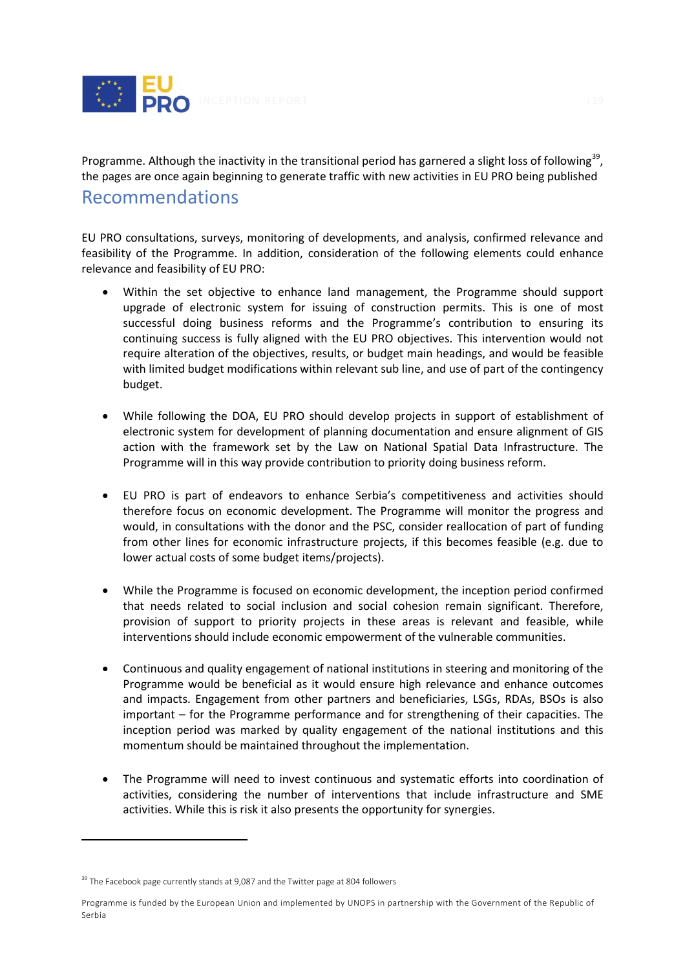

Programme. Although the inactivity in the transitional period has garnered a slight loss of following<sup>[39](#page-19-1)</sup>, the pages are once again beginning to generate traffic with new activities in EU PRO being published

# <span id="page-19-0"></span>Recommendations

EU PRO consultations, surveys, monitoring of developments, and analysis, confirmed relevance and feasibility of the Programme. In addition, consideration of the following elements could enhance relevance and feasibility of EU PRO:

- Within the set objective to enhance land management, the Programme should support upgrade of electronic system for issuing of construction permits. This is one of most successful doing business reforms and the Programme's contribution to ensuring its continuing success is fully aligned with the EU PRO objectives. This intervention would not require alteration of the objectives, results, or budget main headings, and would be feasible with limited budget modifications within relevant sub line, and use of part of the contingency budget.
- While following the DOA, EU PRO should develop projects in support of establishment of electronic system for development of planning documentation and ensure alignment of GIS action with the framework set by the Law on National Spatial Data Infrastructure. The Programme will in this way provide contribution to priority doing business reform.
- EU PRO is part of endeavors to enhance Serbia's competitiveness and activities should therefore focus on economic development. The Programme will monitor the progress and would, in consultations with the donor and the PSC, consider reallocation of part of funding from other lines for economic infrastructure projects, if this becomes feasible (e.g. due to lower actual costs of some budget items/projects).
- While the Programme is focused on economic development, the inception period confirmed that needs related to social inclusion and social cohesion remain significant. Therefore, provision of support to priority projects in these areas is relevant and feasible, while interventions should include economic empowerment of the vulnerable communities.
- Continuous and quality engagement of national institutions in steering and monitoring of the Programme would be beneficial as it would ensure high relevance and enhance outcomes and impacts. Engagement from other partners and beneficiaries, LSGs, RDAs, BSOs is also important – for the Programme performance and for strengthening of their capacities. The inception period was marked by quality engagement of the national institutions and this momentum should be maintained throughout the implementation.
- The Programme will need to invest continuous and systematic efforts into coordination of activities, considering the number of interventions that include infrastructure and SME activities. While this is risk it also presents the opportunity for synergies.

<span id="page-19-1"></span><sup>&</sup>lt;sup>39</sup> The Facebook page currently stands at 9,087 and the Twitter page at 804 followers

Programme is funded by the European Union and implemented by UNOPS in partnership with the Government of the Republic of Serbia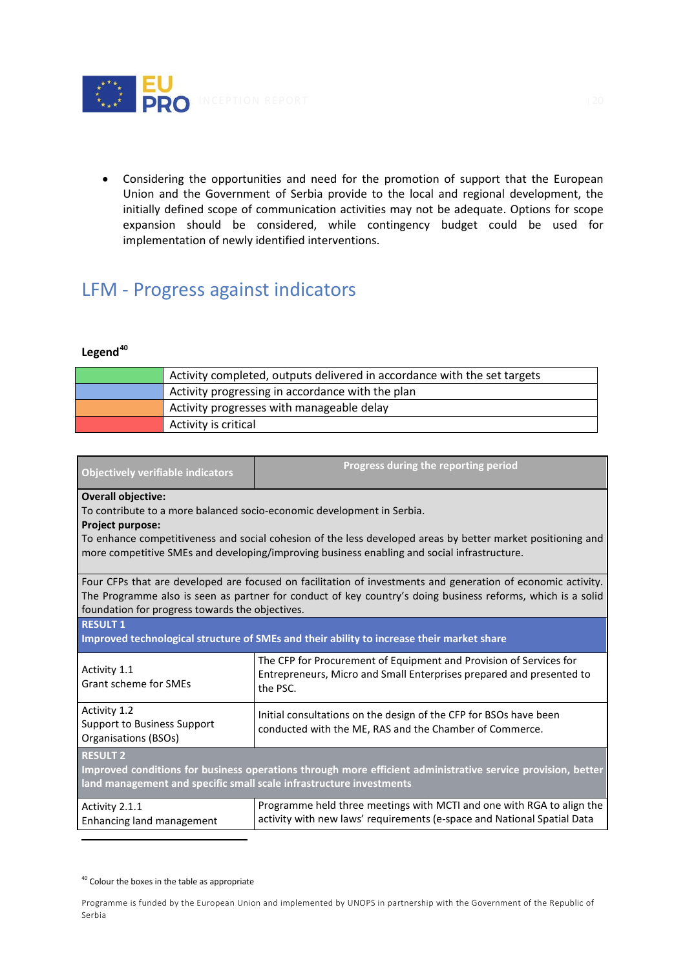

• Considering the opportunities and need for the promotion of support that the European Union and the Government of Serbia provide to the local and regional development, the initially defined scope of communication activities may not be adequate. Options for scope expansion should be considered, while contingency budget could be used for implementation of newly identified interventions.

# <span id="page-20-0"></span>LFM - Progress against indicators

## **Legend[40](#page-20-1)**

| Activity completed, outputs delivered in accordance with the set targets |
|--------------------------------------------------------------------------|
| Activity progressing in accordance with the plan                         |
| Activity progresses with manageable delay                                |
| Activity is critical                                                     |

| <b>Objectively verifiable indicators</b>                                                                                                                                                                                                                                       | Progress during the reporting period                                                                                                                   |  |  |  |
|--------------------------------------------------------------------------------------------------------------------------------------------------------------------------------------------------------------------------------------------------------------------------------|--------------------------------------------------------------------------------------------------------------------------------------------------------|--|--|--|
| <b>Overall objective:</b><br>To contribute to a more balanced socio-economic development in Serbia.<br>Project purpose:                                                                                                                                                        |                                                                                                                                                        |  |  |  |
| To enhance competitiveness and social cohesion of the less developed areas by better market positioning and<br>more competitive SMEs and developing/improving business enabling and social infrastructure.                                                                     |                                                                                                                                                        |  |  |  |
| Four CFPs that are developed are focused on facilitation of investments and generation of economic activity.<br>The Programme also is seen as partner for conduct of key country's doing business reforms, which is a solid<br>foundation for progress towards the objectives. |                                                                                                                                                        |  |  |  |
| <b>RESULT 1</b><br>Improved technological structure of SMEs and their ability to increase their market share                                                                                                                                                                   |                                                                                                                                                        |  |  |  |
| Activity 1.1<br>Grant scheme for SMEs                                                                                                                                                                                                                                          | The CFP for Procurement of Equipment and Provision of Services for<br>Entrepreneurs, Micro and Small Enterprises prepared and presented to<br>the PSC. |  |  |  |
| Activity 1.2<br><b>Support to Business Support</b><br>Organisations (BSOs)                                                                                                                                                                                                     | Initial consultations on the design of the CFP for BSOs have been<br>conducted with the ME, RAS and the Chamber of Commerce.                           |  |  |  |
| <b>RESULT 2</b><br>Improved conditions for business operations through more efficient administrative service provision, better<br>land management and specific small scale infrastructure investments                                                                          |                                                                                                                                                        |  |  |  |
| Activity 2.1.1<br>Enhancing land management                                                                                                                                                                                                                                    | Programme held three meetings with MCTI and one with RGA to align the<br>activity with new laws' requirements (e-space and National Spatial Data       |  |  |  |

<span id="page-20-1"></span> $40$  Colour the boxes in the table as appropriate

Programme is funded by the European Union and implemented by UNOPS in partnership with the Government of the Republic of Serbia